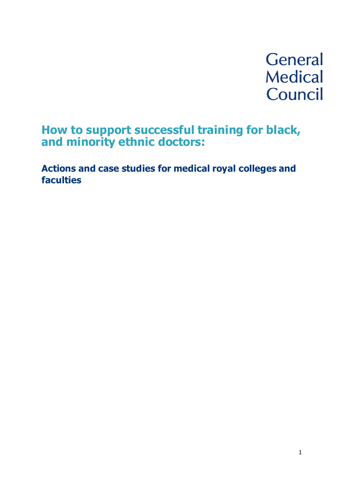# **General Medical** Council

# **How to support successful training for black, and minority ethnic doctors:**

**Actions and case studies for medical royal colleges and faculties**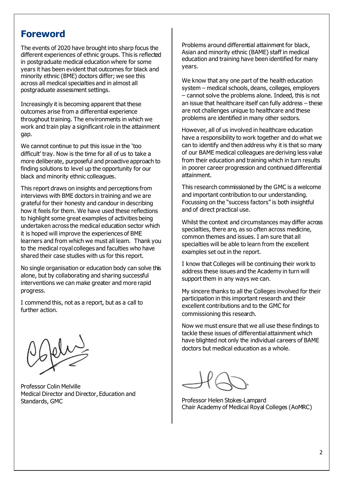### **Foreword**

The events of 2020 have brought into sharp focus the different experiences of ethnic groups. This is reflected in postgraduate medical education where for some years it has been evident that outcomes for black and minority ethnic (BME) doctors differ; we see this across all medical specialties and in almost all postgraduate assessment settings.

Increasingly it is becoming apparent that these outcomes arise from a differential experience throughout training. The environments in which we work and train play a significant role in the attainment gap.

We cannot continue to put this issue in the 'too difficult' tray. Now is the time for all of us to take a more deliberate, purposeful and proactive approach to finding solutions to level up the opportunity for our black and minority ethnic colleagues.

This report draws on insights and perceptions from interviews with BME doctors in training and we are grateful for their honesty and candour in describing how it feels for them. We have used these reflections to highlight some great examples of activities being undertaken across the medical education sector which it is hoped will improve the experiences of BME learners and from which we must all learn. Thank you to the medical royal colleges and faculties who have shared their case studies with us for this report.

No single organisation or education body can solve this alone, but by collaborating and sharing successful interventions we can make greater and more rapid progress.

I commend this, not as a report, but as a call to further action.



Professor Colin Melville Medical Director and Director, Education and Standards, GMC

Problems around differential attainment for black, Asian and minority ethnic (BAME) staff in medical education and training have been identified for many years.

We know that any one part of the health education system – medical schools, deans, colleges, employers – cannot solve the problems alone. Indeed, this is not an issue that healthcare itself can fully address – these are not challenges unique to healthcare and these problems are identified in many other sectors.

However, all of us involved in healthcare education have a responsibility to work together and do what we can to identify and then address why it is that so many of our BAME medical colleagues are deriving less value from their education and training which in turn results in poorer career progression and continued differential attainment.

This research commissioned by the GMC is a welcome and important contribution to our understanding. Focussing on the "success factors" is both insightful and of direct practical use.

Whilst the context and circumstances may differ across specialties, there are, as so often across medicine, common themes and issues. I am sure that all specialties will be able to learn from the excellent examples set out in the report.

I know that Colleges will be continuing their work to address these issues and the Academy in turn will support them in any ways we can.

My sincere thanks to all the Colleges involved for their participation in this important research and their excellent contributions and to the GMC for commissioning this research.

Now we must ensure that we all use these findings to tackle these issues of differential attainment which have blighted not only the individual careers of BAME doctors but medical education as a whole.

Professor Helen Stokes-Lampard Chair Academy of Medical Royal Colleges (AoMRC)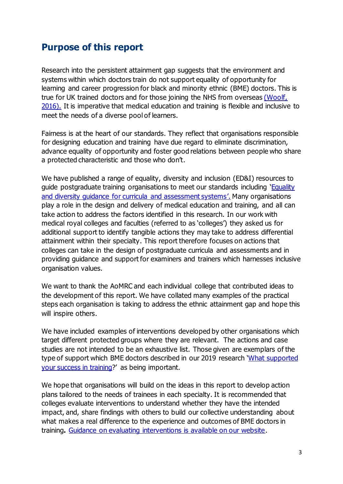## **Purpose of this report**

Research into the persistent attainment gap suggests that the environment and systems within which doctors train do not support equality of opportunity for learning and career progression for black and minority ethnic (BME) doctors. This is true for UK trained doctors and for those joining the NHS from overseas [\(Woolf,](https://www.gmc-uk.org/-/media/documents/2016-04-28-fairpathwaysfinalreport_pdf-66939685_pdf-67089434_pdf-70345187.pdf)  [2016\).](https://www.gmc-uk.org/-/media/documents/2016-04-28-fairpathwaysfinalreport_pdf-66939685_pdf-67089434_pdf-70345187.pdf) It is imperative that medical education and training is flexible and inclusive to meet the needs of a diverse pool of learners.

Fairness is at the heart of our standards. They reflect that organisations responsible for designing education and training have due regard to eliminate discrimination, advance equality of opportunity and foster good relations between people who share a protected characteristic and those who don't.

We have published a range of equality, diversity and inclusion (ED&I) resources to guide postgraduate training organisations to meet our standards including 'Equality [and diversity guidance for curricula and assessment systems](https://www.gmc-uk.org/education/standards-guidance-and-curricula/guidance/equality-and-diversity-guidance-for-curricula-and-assessment-systems)'. Many organisations play a role in the design and delivery of medical education and training, and all can take action to address the factors identified in this research. In our work with medical royal colleges and faculties (referred to as 'colleges') they asked us for additional support to identify tangible actions they may take to address differential attainment within their specialty. This report therefore focuses on actions that colleges can take in the design of postgraduate curricula and assessments and in providing guidance and support for examiners and trainers which harnesses inclusive organisation values.

We want to thank the AoMRC and each individual college that contributed ideas to the development of this report. We have collated many examples of the practical steps each organisation is taking to address the ethnic attainment gap and hope this will inspire others.

We have included examples of interventions developed by other organisations which target different protected groups where they are relevant. The actions and case studies are not intended to be an exhaustive list. Those given are exemplars of the type of support which BME doctors described in our 2019 research 'What supported [your success in training](https://www.gmc-uk.org/-/media/documents/gmc-da-final-report-success-factors-in-training-211119_pdf-80914221.pdf)?' as being important.

We hope that organisations will build on the ideas in this report to develop action plans tailored to the needs of trainees in each specialty. It is recommended that colleges evaluate interventions to understand whether they have the intended impact, and, share findings with others to build our collective understanding about what makes a real difference to the experience and outcomes of BME doctors in training**.** [Guidance on evaluating interventions is available on our website.](https://www.gmc-uk.org/education/standards-guidance-and-curricula/guidance/guide-to-evaluating-interventions)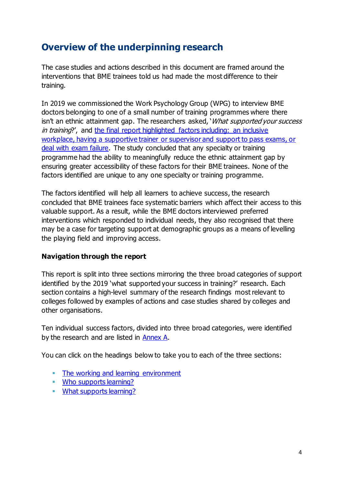# **Overview of the underpinning research**

The case studies and actions described in this document are framed around the interventions that BME trainees told us had made the most difference to their training.

In 2019 we commissioned the Work Psychology Group (WPG) to interview BME doctors belonging to one of a small number of training programmes where there isn't an ethnic attainment gap. The researchers asked, 'What supported your success in training?', and [the final report highlighted factors including:](https://www.gmc-uk.org/-/media/documents/gmc-da-final-report-success-factors-in-training-211119_pdf-80914221.pdf) an inclusive workplace, having a [supportive trainer or supervisor and support to pass exams, or](https://www.gmc-uk.org/-/media/documents/gmc-da-final-report-success-factors-in-training-211119_pdf-80914221.pdf)  [deal with exam failure.](https://www.gmc-uk.org/-/media/documents/gmc-da-final-report-success-factors-in-training-211119_pdf-80914221.pdf) The study concluded that any specialty or training programme had the ability to meaningfully reduce the ethnic attainment gap by ensuring greater accessibility of these factors for their BME trainees. None of the factors identified are unique to any one specialty or training programme.

The factors identified will help all learners to achieve success, the research concluded that BME trainees face systematic barriers which affect their access to this valuable support. As a result, while the BME doctors interviewed preferred interventions which responded to individual needs, they also recognised that there may be a case for targeting support at demographic groups as a means of levelling the playing field and improving access.

#### **Navigation through the report**

This report is split into three sections mirroring the three broad categories of support identified by the 2019 'what supported your success in training?' research. Each section contains a high-level summary of the research findings most relevant to colleges followed by examples of actions and case studies shared by colleges and other organisations.

Ten individual success factors, divided into three broad categories, were identified by the research and are listed in [Annex A.](#page-15-0)

You can click on the headings below to take you to each of the three sections:

- **[The working and learning environment](#page-4-0)**
- **[Who supports learning?](#page-8-0)**
- **[What supports learning?](#page-12-0)**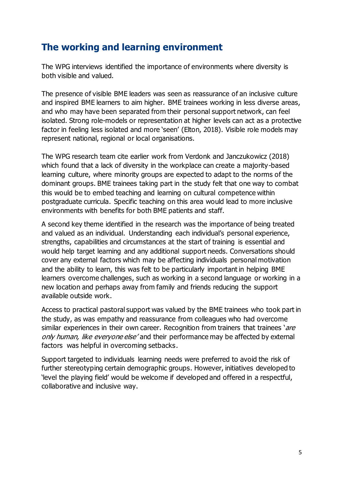# <span id="page-4-0"></span>**The working and learning environment**

The WPG interviews identified the importance of environments where diversity is both visible and valued.

The presence of visible BME leaders was seen as reassurance of an inclusive culture and inspired BME learners to aim higher. BME trainees working in less diverse areas, and who may have been separated from their personal support network, can feel isolated. Strong role-models or representation at higher levels can act as a protective factor in feeling less isolated and more 'seen' (Elton, 2018). Visible role models may represent national, regional or local organisations.

The WPG research team cite earlier work from Verdonk and Janczukowicz (2018) which found that a lack of diversity in the workplace can create a majority-based learning culture, where minority groups are expected to adapt to the norms of the dominant groups. BME trainees taking part in the study felt that one way to combat this would be to embed teaching and learning on cultural competence within postgraduate curricula. Specific teaching on this area would lead to more inclusive environments with benefits for both BME patients and staff.

A second key theme identified in the research was the importance of being treated and valued as an individual. Understanding each individual's personal experience, strengths, capabilities and circumstances at the start of training is essential and would help target learning and any additional support needs. Conversations should cover any external factors which may be affecting individuals personal motivation and the ability to learn, this was felt to be particularly important in helping BME learners overcome challenges, such as working in a second language or working in a new location and perhaps away from family and friends reducing the support available outside work.

Access to practical pastoral support was valued by the BME trainees who took part in the study, as was empathy and reassurance from colleagues who had overcome similar experiences in their own career. Recognition from trainers that trainees 'are only human, like everyone else' and their performance may be affected by external factors was helpful in overcoming setbacks.

Support targeted to individuals learning needs were preferred to avoid the risk of further stereotyping certain demographic groups. However, initiatives developed to 'level the playing field' would be welcome if developed and offered in a respectful, collaborative and inclusive way.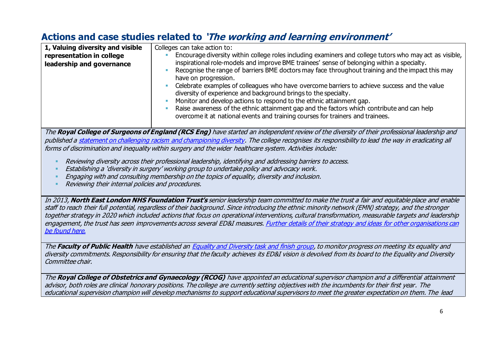# **Actions and case studies related to 'The working and learning environment'**

| 1, Valuing diversity and visible<br>representation in college<br>leadership and governance                                                                                                                                                                                                                                                                                                                       | Colleges can take action to:<br>Encourage diversity within college roles including examiners and college tutors who may act as visible,<br>inspirational role-models and improve BME trainees' sense of belonging within a specialty.<br>Recognise the range of barriers BME doctors may face throughout training and the impact this may<br>have on progression.<br>Celebrate examples of colleagues who have overcome barriers to achieve success and the value<br>diversity of experience and background brings to the specialty. |  |
|------------------------------------------------------------------------------------------------------------------------------------------------------------------------------------------------------------------------------------------------------------------------------------------------------------------------------------------------------------------------------------------------------------------|--------------------------------------------------------------------------------------------------------------------------------------------------------------------------------------------------------------------------------------------------------------------------------------------------------------------------------------------------------------------------------------------------------------------------------------------------------------------------------------------------------------------------------------|--|
|                                                                                                                                                                                                                                                                                                                                                                                                                  | Monitor and develop actions to respond to the ethnic attainment gap.<br>Raise awareness of the ethnic attainment gap and the factors which contribute and can help<br>overcome it at national events and training courses for trainers and trainees.                                                                                                                                                                                                                                                                                 |  |
| The Royal College of Surgeons of England (RCS Eng) have started an independent review of the diversity of their professional leadership and<br>published a statement on challenging racism and championing diversity. The college recognises its responsibility to lead the way in eradicating all<br>forms of discrimination and inequality within surgery and the wider healthcare system. Activities include: |                                                                                                                                                                                                                                                                                                                                                                                                                                                                                                                                      |  |
| Reviewing diversity across their professional leadership, identifying and addressing barriers to access.                                                                                                                                                                                                                                                                                                         |                                                                                                                                                                                                                                                                                                                                                                                                                                                                                                                                      |  |

- Establishing <sup>a</sup>'diversity in surgery' working group to undertake policy and advocacy work.
- Engaging with and consulting membership on the topics of equality, diversity and inclusion.
- Reviewing their internal policies and procedures.

In 2013, **North East London NHS Foundation Trust's** senior leadership team committed to make the trust a fair and equitable place and enable staff to reach their full potential, regardless of their background. Since introducing the ethnic minority network (EMN) strategy, and the stronger together strategy in 2020 which included actions that focus on operational interventions, cultural transformation, measurable targets and leadership engagement, the trust has seen improvements across several ED&I measures. [Further details of their strategy and ideas for other organisations can](https://www.england.nhs.uk/wp-content/uploads/2019/11/nelft-case-study.pdf)  [be found](https://www.england.nhs.uk/wp-content/uploads/2019/11/nelft-case-study.pdf) here.

The **Faculty of Public Health** have established a[n Equality and Diversity task and finish group,](https://www.fph.org.uk/media/2790/fph-equality-and-diversity-statement-nov-19.pdf) to monitor progress on meeting its equality and diversity commitments. Responsibility for ensuring that the faculty achieves its ED&I vision is devolved from its board to the Equality and Diversity Committee chair.

The **Royal College of Obstetrics and Gynaecology (RCOG)** have appointed an educational supervisor champion and a differential attainment advisor, both roles are clinical honorary positions. The college are currently setting objectives with the incumbents for their first year. The educational supervision champion will develop mechanisms to support educational supervisors to meet the greater expectation on them. The lead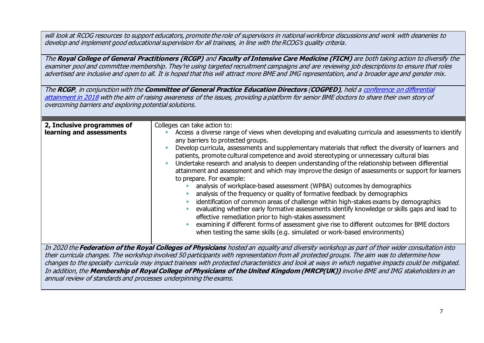will look at RCOG resources to support educators, promote the role of supervisors in national workforce discussions and work with deaneries to develop and implement good educational supervision for all trainees, in line with the RCOG's quality criteria.

The **Royal College of General Practitioners (RCGP)** and **Faculty of Intensive Care Medicine (FICM)** are both taking action to diversify the examiner pool and committee membership. They're using targeted recruitment campaigns and are reviewing job descriptions to ensure that roles advertised are inclusive and open to all. It is hoped that this will attract more BME and IMG representation, and a broader age and gender mix.

The **RCGP**, in conjunction with the **Committee of General Practice Education Directors** (**COGPED)**, held [a conference on](https://www.cogped.org.uk/images/docs/publications/Differential_Attainment_Seminar_Report.pdf) differential [attainment in 2018](https://www.cogped.org.uk/images/docs/publications/Differential_Attainment_Seminar_Report.pdf) with the aim of raising awareness of the issues, providing a platform for senior BME doctors to share their own story of overcoming barriers and exploring potential solutions.

| 2, Inclusive programmes of<br>learning and assessments | Colleges can take action to:<br>Access a diverse range of views when developing and evaluating curricula and assessments to identify<br>any barriers to protected groups.<br>Develop curricula, assessments and supplementary materials that reflect the diversity of learners and<br>patients, promote cultural competence and avoid stereotyping or unnecessary cultural bias<br>Undertake research and analysis to deepen understanding of the relationship between differential<br>attainment and assessment and which may improve the design of assessments or support for learners<br>to prepare. For example:<br>analysis of workplace-based assessment (WPBA) outcomes by demographics<br>analysis of the frequency or quality of formative feedback by demographics<br>identification of common areas of challenge within high-stakes exams by demographics<br>evaluating whether early formative assessments identify knowledge or skills gaps and lead to<br>effective remediation prior to high-stakes assessment<br>examining if different forms of assessment give rise to different outcomes for BME doctors<br>when testing the same skills (e.g. simulated or work-based environments) |
|--------------------------------------------------------|---------------------------------------------------------------------------------------------------------------------------------------------------------------------------------------------------------------------------------------------------------------------------------------------------------------------------------------------------------------------------------------------------------------------------------------------------------------------------------------------------------------------------------------------------------------------------------------------------------------------------------------------------------------------------------------------------------------------------------------------------------------------------------------------------------------------------------------------------------------------------------------------------------------------------------------------------------------------------------------------------------------------------------------------------------------------------------------------------------------------------------------------------------------------------------------------------------|
|                                                        | In 2020 the <b>Federation of the Poyal Colleges of Physicians</b> hosted an equality and diversity workshop as part of their wider consultation into                                                                                                                                                                                                                                                                                                                                                                                                                                                                                                                                                                                                                                                                                                                                                                                                                                                                                                                                                                                                                                                    |

In 2020 the **Federation of the Royal Colleges of Physicians** hosted an equality and diversity workshop as part of their wider consultation into their curricula changes. The workshop involved 50 participants with representation from all protected groups. The aim was to determine how changes to the specialty curricula may impact trainees with protected characteristics and look at ways in which negative impacts could be mitigated. In addition, the **Membership of Royal College of Physicians of the United Kingdom (MRCP(UK))** involve BME and IMG stakeholders in an annual review of standards and processes underpinning the exams.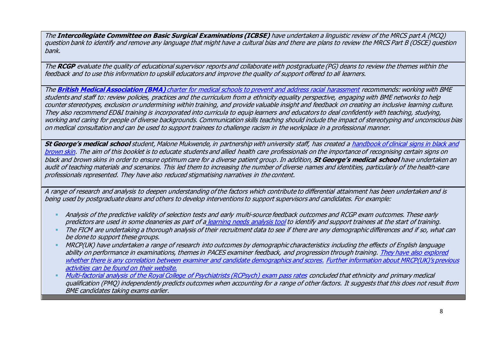The **Intercollegiate Committee on Basic Surgical Examinations (ICBSE)** have undertaken a linguistic review of the MRCS part A (MCQ) question bank to identify and remove any language that might have a cultural bias and there are plans to review the MRCS Part B (OSCE) question bank.

The **RCGP** evaluate the quality of educational supervisor reports and collaborate with postgraduate (PG) deans to review the themes within the feedback and to use this information to upskill educators and improve the quality of support offered to all learners.

The **British Medical Association (BMA)** charter [for medical schools to prevent and address racial harassment](https://www.bma.org.uk/media/2030/bma-med-school-charter-implementation.pdf) recommends: working with BME students and staff to: review policies, practices and the curriculum from a ethnicity equality perspective, engaging with BME networks to help counter stereotypes, exclusion or undermining within training, and provide valuable insight and feedback on creating an inclusive learning culture. They also recommend ED&I training is incorporated into curricula to equip learners and educators to deal confidently with teaching, studying, working and caring for people of diverse backgrounds. Communication skills teaching should include the impact of stereotyping and unconscious bias on medical consultation and can be used to support trainees to challenge racism in the workplace in a professional manner.

**St George's medical school** student, Malone Mukwende, in partnership with university staff, has created [a handbook of clinical signs in black and](https://www.blackandbrownskin.co.uk/mindthegap)  [brown skin.](https://www.blackandbrownskin.co.uk/mindthegap) The aim of this booklet is to educate students and allied health care professionals on the importance of recognising certain signs on black and brown skins in order to ensure optimum care for a diverse patient group.In addition, **St George's medical school** have undertaken an audit of teaching materials and scenarios. This led them to increasing the number of diverse names and identities, particularly of the health-care professionals represented. They have also reduced stigmatising narratives in the content.

A range of research and analysis to deepen understanding of the factors which contribute to differential attainment has been undertaken and is being used by postgraduate deans and others to develop interventions to support supervisors and candidates. For example:

- Analysis of the predictive validity of selection tests and early multi-source feedback outcomes and RCGP exam outcomes. These early predictors are used in some deaneries as part of a [learning needs analysis tool](https://www.gmc-uk.org/-/media/documents/itap-case-study_pdf-75325035.pdf) to identify and support trainees at the start of training.
- The FICM are undertaking a thorough analysis of their recruitment data to see if there are any demographic differences and if so, what can be done to support these groups.
- **MRCP(UK) have undertaken a range of research into outcomes by demographic characteristics including the effects of English language** ability on performance in examinations, themes in PACES examiner feedback, and progression through training. [They have also explored](https://bmcmededuc.biomedcentral.com/articles/10.1186/1472-6920-13-103)  [whether there is any correlation between examiner and candidate demographics and scores.](https://bmcmededuc.biomedcentral.com/articles/10.1186/1472-6920-13-103) [Further information about MRCP\(UK\)'s previous](https://www.mrcpuk.org/about-us/development-exams/research)  [activities can be found on their](https://www.mrcpuk.org/about-us/development-exams/research) website.
- [Multi-factorial analysis of the Royal College of Psychiatrists \(RCPsych\)](https://pmj.bmj.com/content/early/2020/09/03/postgradmedj-2020-137913) exam pass rates concluded that ethnicity and primary medical qualification (PMQ) independently predicts outcomes when accounting for a range of other factors. It suggests that this does not result from BME candidates taking exams earlier.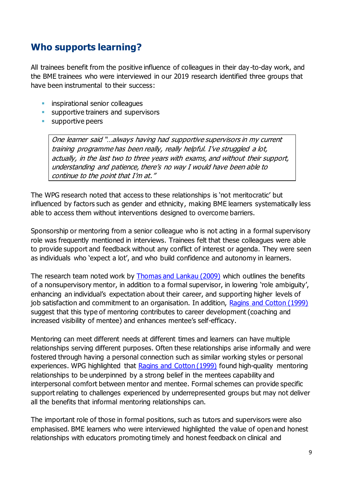## <span id="page-8-0"></span>**Who supports learning?**

All trainees benefit from the positive influence of colleagues in their day-to-day work, and the BME trainees who were interviewed in our 2019 research identified three groups that have been instrumental to their success:

- **EXECUTE:** inspirational senior colleagues
- **E** supportive trainers and supervisors
- supportive peers

One learner said "…always having had supportive supervisors in my current training programme has been really, really helpful. I've struggled a lot, actually, in the last two to three years with exams, and without their support, understanding and patience, there's no way I would have been able to continue to the point that I'm at."

The WPG research noted that access to these relationships is 'not meritocratic' but influenced by factors such as gender and ethnicity, making BME learners systematically less able to access them without interventions designed to overcome barriers.

Sponsorship or mentoring from a senior colleague who is not acting in a formal supervisory role was frequently mentioned in interviews. Trainees felt that these colleagues were able to provide support and feedback without any conflict of interest or agenda. They were seen as individuals who 'expect a lot', and who build confidence and autonomy in learners.

The research team noted work by [Thomas and Lankau \(2009\)](https://www.researchgate.net/publication/227817826_Preventing_Burnout_The_effects_of_LMX_and_mentoring_on_socialization_role_stress_and_burnout) which outlines the benefits of a nonsupervisory mentor, in addition to a formal supervisor, in lowering 'role ambiguity', enhancing an individual's expectation about their career, and supporting higher levels of job satisfaction and commitment to an organisation. In addition, [Ragins and Cotton \(1999\)](https://pdfs.semanticscholar.org/1b63/ed1c2f9d86f41e2a0ee31bdee0b356e9f8bb.pdf) suggest that this type of mentoring contributes to career development (coaching and increased visibility of mentee) and enhances mentee's self-efficacy.

Mentoring can meet different needs at different times and learners can have multiple relationships serving different purposes. Often these relationships arise informally and were fostered through having a personal connection such as similar working styles or personal experiences. WPG highlighted that [Ragins and Cotton \(1999\)](https://pdfs.semanticscholar.org/1b63/ed1c2f9d86f41e2a0ee31bdee0b356e9f8bb.pdf) found high-quality mentoring relationships to be underpinned by a strong belief in the mentees capability and interpersonal comfort between mentor and mentee. Formal schemes can provide specific support relating to challenges experienced by underrepresented groups but may not deliver all the benefits that informal mentoring relationships can.

The important role of those in formal positions, such as tutors and supervisors were also emphasised. BME learners who were interviewed highlighted the value of open and honest relationships with educators promoting timely and honest feedback on clinical and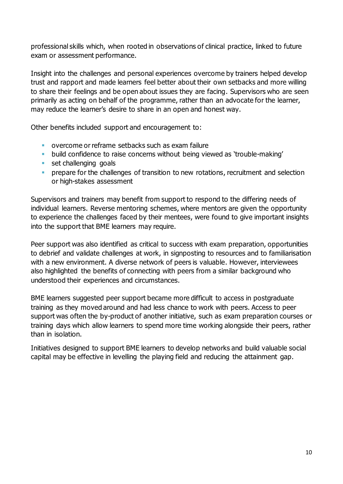professional skills which, when rooted in observations of clinical practice, linked to future exam or assessment performance.

Insight into the challenges and personal experiences overcome by trainers helped develop trust and rapport and made learners feel better about their own setbacks and more willing to share their feelings and be open about issues they are facing. Supervisors who are seen primarily as acting on behalf of the programme, rather than an advocate for the learner, may reduce the learner's desire to share in an open and honest way.

Other benefits included support and encouragement to:

- overcome or reframe setbacks such as exam failure
- build confidence to raise concerns without being viewed as 'trouble-making'
- **EXECUTE:** set challenging goals
- **•** prepare for the challenges of transition to new rotations, recruitment and selection or high-stakes assessment

Supervisors and trainers may benefit from support to respond to the differing needs of individual learners. Reverse mentoring schemes, where mentors are given the opportunity to experience the challenges faced by their mentees, were found to give important insights into the support that BME learners may require.

Peer support was also identified as critical to success with exam preparation, opportunities to debrief and validate challenges at work, in signposting to resources and to familiarisation with a new environment. A diverse network of peers is valuable. However, interviewees also highlighted the benefits of connecting with peers from a similar background who understood their experiences and circumstances.

BME learners suggested peer support became more difficult to access in postgraduate training as they moved around and had less chance to work with peers. Access to peer support was often the by-product of another initiative, such as exam preparation courses or training days which allow learners to spend more time working alongside their peers, rather than in isolation.

Initiatives designed to support BME learners to develop networks and build valuable social capital may be effective in levelling the playing field and reducing the attainment gap.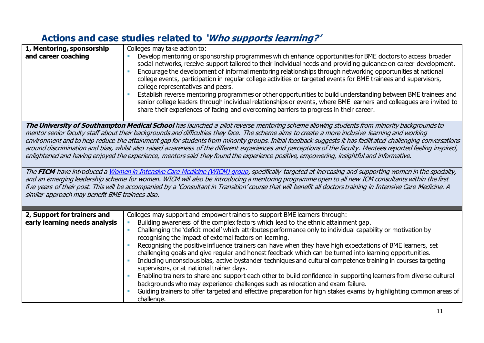# **Actions and case studies related to 'Who supports learning?'**

| 1, Mentoring, sponsorship                                                                                                                                                                                                                                                                                                                                                                                                                                                                                                                                                                                                                                                                                                                                                                                                                                                                                                                                                                                                                                                                                                                                                                                                                             | Colleges may take action to:                                                                                                                                                                                                                                                                                                                                                                                                                                                                                                                                                                                                                                                                                                                                                                                                                                                                                                                                                                                                                                                                              |  |
|-------------------------------------------------------------------------------------------------------------------------------------------------------------------------------------------------------------------------------------------------------------------------------------------------------------------------------------------------------------------------------------------------------------------------------------------------------------------------------------------------------------------------------------------------------------------------------------------------------------------------------------------------------------------------------------------------------------------------------------------------------------------------------------------------------------------------------------------------------------------------------------------------------------------------------------------------------------------------------------------------------------------------------------------------------------------------------------------------------------------------------------------------------------------------------------------------------------------------------------------------------|-----------------------------------------------------------------------------------------------------------------------------------------------------------------------------------------------------------------------------------------------------------------------------------------------------------------------------------------------------------------------------------------------------------------------------------------------------------------------------------------------------------------------------------------------------------------------------------------------------------------------------------------------------------------------------------------------------------------------------------------------------------------------------------------------------------------------------------------------------------------------------------------------------------------------------------------------------------------------------------------------------------------------------------------------------------------------------------------------------------|--|
| and career coaching                                                                                                                                                                                                                                                                                                                                                                                                                                                                                                                                                                                                                                                                                                                                                                                                                                                                                                                                                                                                                                                                                                                                                                                                                                   | Develop mentoring or sponsorship programmes which enhance opportunities for BME doctors to access broader<br>social networks, receive support tailored to their individual needs and providing guidance on career development.<br>Encourage the development of informal mentoring relationships through networking opportunities at national<br>college events, participation in regular college activities or targeted events for BME trainees and supervisors,<br>college representatives and peers.<br>Establish reverse mentoring programmes or other opportunities to build understanding between BME trainees and<br>senior college leaders through individual relationships or events, where BME learners and colleagues are invited to<br>share their experiences of facing and overcoming barriers to progress in their career.                                                                                                                                                                                                                                                                  |  |
| The University of Southampton Medical School has launched a pilot reverse mentoring scheme allowing students from minority backgrounds to<br>mentor senior faculty staff about their backgrounds and difficulties they face. The scheme aims to create a more inclusive learning and working<br>environment and to help reduce the attainment gap for students from minority groups. Initial feedback suggests it has facilitated challenging conversations<br>around discrimination and bias, whilst also raised awareness of the different experiences and perceptions of the faculty. Mentees reported feeling inspired,<br>enlightened and having enjoyed the experience, mentors said they found the experience positive, empowering, insightful and informative.<br>The FICM have introduced a Women in Intensive Care Medicine (WICM) group, specifically targeted at increasing and supporting women in the specialty,<br>and an emerging leadership scheme for women. WICM will also be introducing a mentoring programme open to all new ICM consultants within the first<br>five years of their post. This will be accompanied by a 'Consultant in Transition' course that will benefit all doctors training in Intensive Care Medicine. A |                                                                                                                                                                                                                                                                                                                                                                                                                                                                                                                                                                                                                                                                                                                                                                                                                                                                                                                                                                                                                                                                                                           |  |
| similar approach may benefit BME trainees also.                                                                                                                                                                                                                                                                                                                                                                                                                                                                                                                                                                                                                                                                                                                                                                                                                                                                                                                                                                                                                                                                                                                                                                                                       |                                                                                                                                                                                                                                                                                                                                                                                                                                                                                                                                                                                                                                                                                                                                                                                                                                                                                                                                                                                                                                                                                                           |  |
| 2, Support for trainers and<br>early learning needs analysis                                                                                                                                                                                                                                                                                                                                                                                                                                                                                                                                                                                                                                                                                                                                                                                                                                                                                                                                                                                                                                                                                                                                                                                          | Colleges may support and empower trainers to support BME learners through:<br>Building awareness of the complex factors which lead to the ethnic attainment gap.<br>Challenging the 'deficit model' which attributes performance only to individual capability or motivation by<br>$\overline{\phantom{a}}$<br>recognising the impact of external factors on learning.<br>Recognising the positive influence trainers can have when they have high expectations of BME learners, set<br>challenging goals and give regular and honest feedback which can be turned into learning opportunities.<br>Including unconscious bias, active bystander techniques and cultural competence training in courses targeting<br>supervisors, or at national trainer days.<br>Enabling trainers to share and support each other to build confidence in supporting learners from diverse cultural<br>backgrounds who may experience challenges such as relocation and exam failure.<br>Guiding trainers to offer targeted and effective preparation for high stakes exams by highlighting common areas of<br>challenge. |  |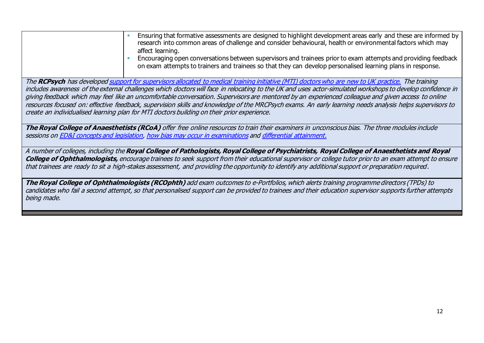| Ensuring that formative assessments are designed to highlight development areas early and these are informed by<br>research into common areas of challenge and consider behavioural, health or environmental factors which may<br>affect learning.<br>Encouraging open conversations between supervisors and trainees prior to exam attempts and providing feedback<br>on exam attempts to trainers and trainees so that they can develop personalised learning plans in response. |  |  |
|------------------------------------------------------------------------------------------------------------------------------------------------------------------------------------------------------------------------------------------------------------------------------------------------------------------------------------------------------------------------------------------------------------------------------------------------------------------------------------|--|--|
| The RCPsych has developed support for supervisors allocated to medical training initiative (MTI) doctors who are new to UK practice. The training                                                                                                                                                                                                                                                                                                                                  |  |  |
| includes awareness of the external challenges which doctors will face in relocating to the UK and uses actor-simulated workshops to develop confidence in<br>giving feedback which may feel like an uncomfortable conversation. Supervisors are mentored by an experienced colleague and given access to online                                                                                                                                                                    |  |  |
| resources focused on: effective feedback, supervision skills and knowledge of the MRCPsych exams. An early learning needs analysis helps supervisors to                                                                                                                                                                                                                                                                                                                            |  |  |
| create an individualised learning plan for MTI doctors building on their prior experience.                                                                                                                                                                                                                                                                                                                                                                                         |  |  |
|                                                                                                                                                                                                                                                                                                                                                                                                                                                                                    |  |  |
| The Royal College of Anaesthetists (RCoA) offer free online resources to train their examiners in unconscious bias. The three modules include                                                                                                                                                                                                                                                                                                                                      |  |  |
| sessions on <b>ED&amp;I</b> concepts and legislation, how bias may occur in examinations and differential attainment.                                                                                                                                                                                                                                                                                                                                                              |  |  |
| A number of colleges, including the Royal College of Pathologists, Royal College of Psychiatrists, Royal College of Anaesthetists and Royal                                                                                                                                                                                                                                                                                                                                        |  |  |
| <b>College of Ophthalmologists,</b> encourage trainees to seek support from their educational supervisor or college tutor prior to an exam attempt to ensure                                                                                                                                                                                                                                                                                                                       |  |  |
| that trainees are ready to sit a high-stakes assessment, and providing the opportunity to identify any additional support or preparation required.                                                                                                                                                                                                                                                                                                                                 |  |  |
|                                                                                                                                                                                                                                                                                                                                                                                                                                                                                    |  |  |
| The Royal College of Ophthalmologists (RCOphth) add exam outcomes to e-Portfolios, which alerts training programme directors (TPDs) to<br>candidates who fail a second attempt, so that personalised support can be provided to trainees and their education supervisor supports further attempts                                                                                                                                                                                  |  |  |
| being made.                                                                                                                                                                                                                                                                                                                                                                                                                                                                        |  |  |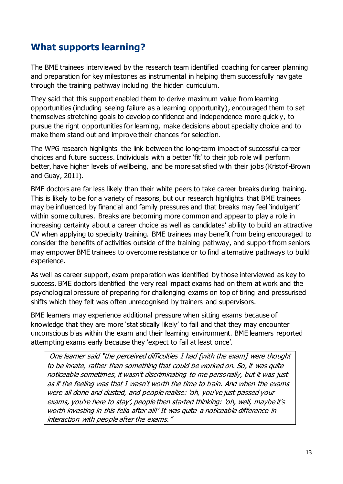## <span id="page-12-0"></span>**What supports learning?**

The BME trainees interviewed by the research team identified coaching for career planning and preparation for key milestones as instrumental in helping them successfully navigate through the training pathway including the hidden curriculum.

They said that this support enabled them to derive maximum value from learning opportunities (including seeing failure as a learning opportunity), encouraged them to set themselves stretching goals to develop confidence and independence more quickly, to pursue the right opportunities for learning, make decisions about specialty choice and to make them stand out and improve their chances for selection.

The WPG research highlights the link between the long-term impact of successful career choices and future success. Individuals with a better 'fit' to their job role will perform better, have higher levels of wellbeing, and be more satisfied with their jobs (Kristof-Brown and Guay, 2011).

BME doctors are far less likely than their white peers to take career breaks during training. This is likely to be for a variety of reasons, but our research highlights that BME trainees may be influenced by financial and family pressures and that breaks may feel 'indulgent' within some cultures. Breaks are becoming more common and appear to play a role in increasing certainty about a career choice as well as candidates' ability to build an attractive CV when applying to specialty training. BME trainees may benefit from being encouraged to consider the benefits of activities outside of the training pathway, and support from seniors may empower BME trainees to overcome resistance or to find alternative pathways to build experience.

As well as career support, exam preparation was identified by those interviewed as key to success. BME doctors identified the very real impact exams had on them at work and the psychological pressure of preparing for challenging exams on top of tiring and pressurised shifts which they felt was often unrecognised by trainers and supervisors.

BME learners may experience additional pressure when sitting exams because of knowledge that they are more 'statistically likely' to fail and that they may encounter unconscious bias within the exam and their learning environment. BME learners reported attempting exams early because they 'expect to fail at least once'.

One learner said "the perceived difficulties I had [with the exam] were thought to be innate, rather than something that could be worked on. So, it was quite noticeable sometimes, it wasn't discriminating to me personally, but it was just as if the feeling was that I wasn't worth the time to train. And when the exams were all done and dusted, and people realise: 'oh, you've just passed your exams, you're here to stay', people then started thinking: 'oh, well, maybe it's worth investing in this fella after all!' It was quite a noticeable difference in interaction with people after the exams."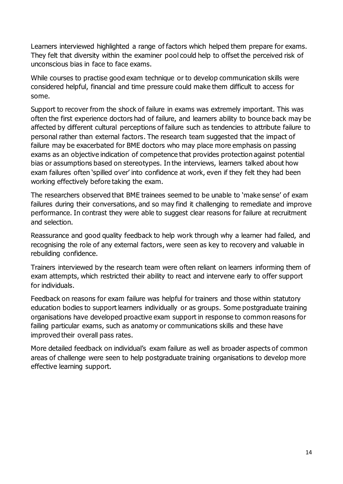Learners interviewed highlighted a range of factors which helped them prepare for exams. They felt that diversity within the examiner pool could help to offset the perceived risk of unconscious bias in face to face exams.

While courses to practise good exam technique or to develop communication skills were considered helpful, financial and time pressure could make them difficult to access for some.

Support to recover from the shock of failure in exams was extremely important. This was often the first experience doctors had of failure, and learners ability to bounce back may be affected by different cultural perceptions of failure such as tendencies to attribute failure to personal rather than external factors. The research team suggested that the impact of failure may be exacerbated for BME doctors who may place more emphasis on passing exams as an objective indication of competence that provides protection against potential bias or assumptions based on stereotypes. In the interviews, learners talked about how exam failures often 'spilled over' into confidence at work, even if they felt they had been working effectively before taking the exam.

The researchers observed that BME trainees seemed to be unable to 'make sense' of exam failures during their conversations, and so may find it challenging to remediate and improve performance. In contrast they were able to suggest clear reasons for failure at recruitment and selection.

Reassurance and good quality feedback to help work through why a learner had failed, and recognising the role of any external factors, were seen as key to recovery and valuable in rebuilding confidence.

Trainers interviewed by the research team were often reliant on learners informing them of exam attempts, which restricted their ability to react and intervene early to offer support for individuals.

Feedback on reasons for exam failure was helpful for trainers and those within statutory education bodies to support learners individually or as groups. Some postgraduate training organisations have developed proactive exam support in response to common reasons for failing particular exams, such as anatomy or communications skills and these have improved their overall pass rates.

More detailed feedback on individual's exam failure as well as broader aspects of common areas of challenge were seen to help postgraduate training organisations to develop more effective learning support.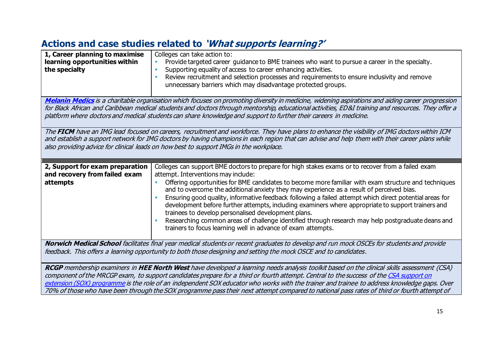# **Actions and case studies related to 'What supports learning?'**

| 1, Career planning to maximise<br>learning opportunities within<br>the specialty                                                                                                                                                                                                                                                                                                                                                                                                                                                                                                  | Colleges can take action to:<br>Provide targeted career guidance to BME trainees who want to pursue a career in the specialty.<br>$\blacksquare$<br>Supporting equality of access to career enhancing activities.<br>٠<br>Review recruitment and selection processes and requirements to ensure inclusivity and remove<br>unnecessary barriers which may disadvantage protected groups.                                                                                                                                                                                                                                                                                                                                                                                                     |  |
|-----------------------------------------------------------------------------------------------------------------------------------------------------------------------------------------------------------------------------------------------------------------------------------------------------------------------------------------------------------------------------------------------------------------------------------------------------------------------------------------------------------------------------------------------------------------------------------|---------------------------------------------------------------------------------------------------------------------------------------------------------------------------------------------------------------------------------------------------------------------------------------------------------------------------------------------------------------------------------------------------------------------------------------------------------------------------------------------------------------------------------------------------------------------------------------------------------------------------------------------------------------------------------------------------------------------------------------------------------------------------------------------|--|
| Melanin Medics is a charitable organisation which focuses on promoting diversity in medicine, widening aspirations and aiding career progression<br>for Black African and Caribbean medical students and doctors through mentorship, educational activities, ED&I training and resources. They offer a<br>platform where doctors and medical students can share knowledge and support to further their careers in medicine.                                                                                                                                                       |                                                                                                                                                                                                                                                                                                                                                                                                                                                                                                                                                                                                                                                                                                                                                                                             |  |
| The FICM have an IMG lead focused on careers, recruitment and workforce. They have plans to enhance the visibility of IMG doctors within ICM<br>and establish a support network for IMG doctors by having champions in each region that can advise and help them with their career plans while<br>also providing advice for clinical leads on how best to support IMGs in the workplace.                                                                                                                                                                                          |                                                                                                                                                                                                                                                                                                                                                                                                                                                                                                                                                                                                                                                                                                                                                                                             |  |
| 2, Support for exam preparation<br>and recovery from failed exam<br>attempts                                                                                                                                                                                                                                                                                                                                                                                                                                                                                                      | Colleges can support BME doctors to prepare for high stakes exams or to recover from a failed exam<br>attempt. Interventions may include:<br>Offering opportunities for BME candidates to become more familiar with exam structure and techniques<br>and to overcome the additional anxiety they may experience as a result of perceived bias.<br>Ensuring good quality, informative feedback following a failed attempt which direct potential areas for<br>development before further attempts, including examiners where appropriate to support trainers and<br>trainees to develop personalised development plans.<br>Researching common areas of challenge identified through research may help postgraduate deans and<br>trainers to focus learning well in advance of exam attempts. |  |
| Norwich Medical School facilitates final year medical students or recent graduates to develop and run mock OSCEs for students and provide<br>feedback. This offers a learning opportunity to both those designing and setting the mock OSCE and to candidates.                                                                                                                                                                                                                                                                                                                    |                                                                                                                                                                                                                                                                                                                                                                                                                                                                                                                                                                                                                                                                                                                                                                                             |  |
| RCGP membership examiners in HEE North West have developed a learning needs analysis toolkit based on the clinical skills assessment (CSA)<br>component of the MRCGP exam, to support candidates prepare for a third or fourth attempt. Central to the success of the CSA support on<br>extension (SOX) programme is the role of an independent SOX educator who works with the trainer and trainee to address knowledge gaps. Over<br>70% of those who have been through the SOX programme pass their next attempt compared to national pass rates of third or fourth attempt of |                                                                                                                                                                                                                                                                                                                                                                                                                                                                                                                                                                                                                                                                                                                                                                                             |  |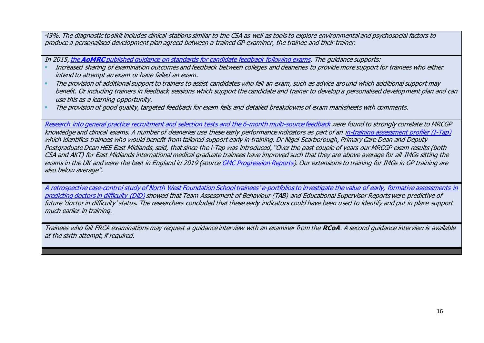43%. The diagnostic toolkit includes clinical stations similar to the CSA as well as tools to explore environmental and psychosocial factors to produce a personalised development plan agreed between a trained GP examiner, the trainee and their trainer.

In 2015, the **AoMRC** published guidance [on standards for candidate feedback following exams.](https://www.aomrc.org.uk/reports-guidance/guidance-standards-candidate-feedback-pgme-1115/) The guidance supports:

- Increased sharing of examination outcomes and feedback between colleges and deaneries to provide more support for trainees who either intend to attempt an exam or have failed an exam.
- The provision of additional support to trainers to assist candidates who fail an exam, such as advice around which additional support may benefit. Or including trainers in feedback sessions which support the candidate and trainer to develop a personalised development plan and can use this as a learning opportunity.
- The provision of good quality, targeted feedback for exam fails and detailed breakdowns of exam marksheets with comments.

[Research](https://www.gmc-uk.org/about/what-we-do-and-why/data-and-research/research-and-insight-archive/relationship-between-general-practice-selection-scores-and-mrcgp-examination-performance) into general practice recruitment and selection tests and the 6-month multi-source feedback were found to strongly correlate to MRCGP knowledge and clinical exams. A number of deaneries use these early performance indicators as part of an [in-training assessment profiler \(I-Tap\)](https://www.gmc-uk.org/-/media/documents/itap-case-study_pdf-75325035.pdf) which identifies trainees who would benefit from tailored support early in training. Dr Nigel Scarborough, Primary Care Dean and Deputy Postgraduate Dean HEE East Midlands, said, that since the i-Tap was introduced, "Over the past couple of years our MRCGP exam results (both CSA and AKT) for East Midlands international medical graduate trainees have improved such that they are above average for all IMGs sitting the exams in the UK and were the best in England in 2019 (sourc[e GMC Progression Reports\)](https://www.gmc-uk.org/education/reports-and-reviews/progression-reports). Our extensions to training for IMGs in GP training are also below average".

A [retrospective case-control study of North West Foundation School trainees](https://onlinelibrary.wiley.com/doi/abs/10.1111/medu.12996)' e-portfolios to investigate the value of early, formative assessments in [predicting doctors in difficulty](https://onlinelibrary.wiley.com/doi/abs/10.1111/medu.12996) (DiD) showed that Team Assessment of Behaviour (TAB) and Educational Supervisor Reports were predictive of future 'doctor in difficulty' status. The researchers concluded that these early indicators could have been used to identify and put in place support much earlier in training.

<span id="page-15-0"></span>Trainees who fail FRCA examinations may request a guidance interview with an examiner from the **RCoA**. A second guidance interview is available at the sixth attempt, if required.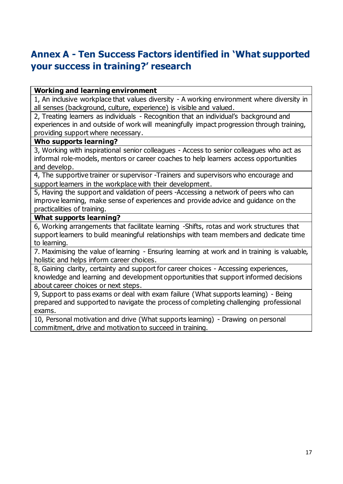# **Annex A - Ten Success Factors identified in 'What supported your success in training?' research**

#### **Working and learning environment**

1, An inclusive workplace that values diversity - A working environment where diversity in all senses (background, culture, experience) is visible and valued.

2, Treating learners as individuals - Recognition that an individual's background and experiences in and outside of work will meaningfully impact progression through training, providing support where necessary.

#### **Who supports learning?**

3, Working with inspirational senior colleagues - Access to senior colleagues who act as informal role-models, mentors or career coaches to help learners access opportunities and develop.

4, The supportive trainer or supervisor -Trainers and supervisors who encourage and support learners in the workplace with their development.

5, Having the support and validation of peers -Accessing a network of peers who can improve learning, make sense of experiences and provide advice and guidance on the practicalities of training.

#### **What supports learning?**

6, Working arrangements that facilitate learning -Shifts, rotas and work structures that support learners to build meaningful relationships with team members and dedicate time to learning.

7. Maximising the value of learning - Ensuring learning at work and in training is valuable, holistic and helps inform career choices.

8, Gaining clarity, certainty and support for career choices - Accessing experiences, knowledge and learning and development opportunities that support informed decisions about career choices or next steps.

9, Support to pass exams or deal with exam failure (What supports learning) - Being prepared and supported to navigate the process of completing challenging professional exams.

10, Personal motivation and drive (What supports learning) - Drawing on personal commitment, drive and motivation to succeed in training.